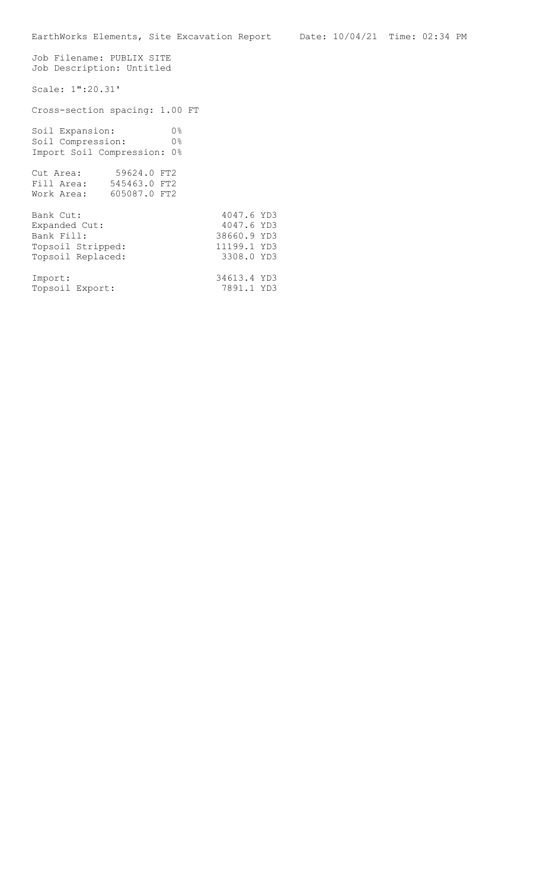Job Filename: PUBLIX SITE Job Description: Untitled Scale: 1":20.31' Cross-section spacing: 1.00 FT Soil Expansion: 0% Soil Compression: 0% Import Soil Compression: 0% Cut Area: 59624.0 FT2 Fill Area: 545463.0 FT2 Work Area: 605087.0 FT2 Bank Cut: 4047.6 YD3<br>Expanded Cut: 4047.6 YD3 Expanded Cut: Bank Fill: 38660.9 YD3<br>Topsoil Stripped: 11199.1 YD3 Topsoil Stripped: 11199.1 YD3 Topsoil Replaced: 3308.0 YD3 Import: 34613.4 YD3<br>
Topsoil Export: 7891.1 YD3 Topsoil Export: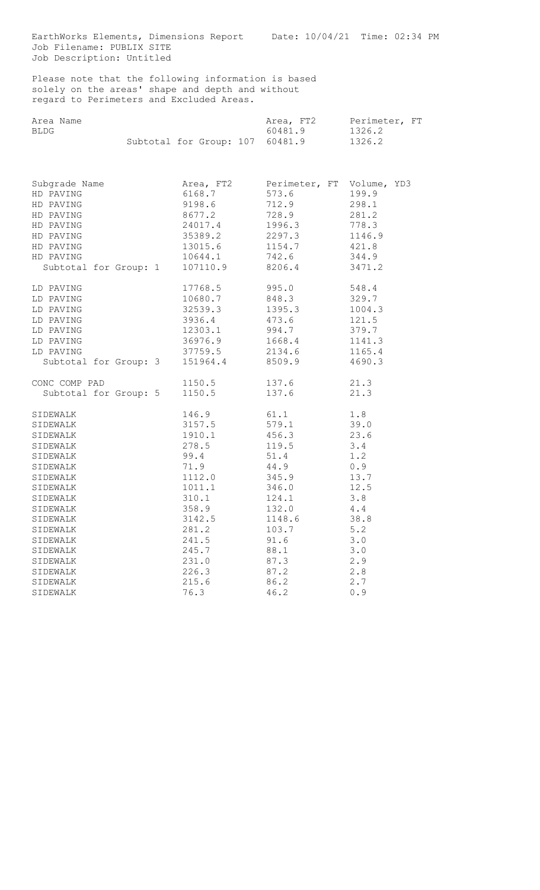EarthWorks Elements, Dimensions Report Date: 10/04/21 Time: 02:34 PM Job Filename: PUBLIX SITE Job Description: Untitled

Please note that the following information is based solely on the areas' shape and depth and without regard to Perimeters and Excluded Areas.

|      | Area Name |                                 |  | Area, FT2 | Perimeter, FT |  |
|------|-----------|---------------------------------|--|-----------|---------------|--|
| BLDG |           |                                 |  | 60481.9   | 1326.2        |  |
|      |           | Subtotal for Group: 107 60481.9 |  |           | 1326.2        |  |

| Subgrade Name<br>HD PAVING<br>HD PAVING<br>HD PAVING<br>HD PAVING<br>HD PAVING<br>HD PAVING<br>HD PAVING<br>Subtotal for Group: 1 | Area, FT2<br>6168.7<br>9198.6<br>8677.2<br>24017.4<br>35389.2<br>13015.6<br>10644.1<br>107110.9 | Perimeter, FT Volume, YD3<br>573.6<br>712.9<br>728.9<br>1996.3<br>2297.3<br>1154.7 421.8<br>742.6<br>8206.4 | 199.9<br>298.1<br>281.2<br>778.3<br>1146.9<br>344.9<br>3471.2 |
|-----------------------------------------------------------------------------------------------------------------------------------|-------------------------------------------------------------------------------------------------|-------------------------------------------------------------------------------------------------------------|---------------------------------------------------------------|
| LD PAVING                                                                                                                         | 17768.5                                                                                         | 995.0                                                                                                       | 548.4                                                         |
| LD PAVING                                                                                                                         | 10680.7                                                                                         | 848.3                                                                                                       | 329.7                                                         |
| LD PAVING                                                                                                                         | 32539.3                                                                                         | 1395.3                                                                                                      | 1004.3                                                        |
| LD PAVING                                                                                                                         | 3936.4                                                                                          | 473.6                                                                                                       | 121.5                                                         |
| LD PAVING                                                                                                                         | 12303.1                                                                                         | 994.7                                                                                                       | 379.7                                                         |
| LD PAVING                                                                                                                         | 36976.9                                                                                         | 1668.4                                                                                                      | 1141.3                                                        |
| LD PAVING                                                                                                                         | 37759.5                                                                                         | 2134.6                                                                                                      | 1165.4                                                        |
| Subtotal for Group: 3                                                                                                             | 151964.4                                                                                        | 8509.9                                                                                                      | 4690.3                                                        |
| CONC COMP PAD                                                                                                                     | 1150.5                                                                                          | 137.6                                                                                                       | 21.3                                                          |
| Subtotal for Group: 5                                                                                                             | 1150.5                                                                                          | 137.6                                                                                                       | 21.3                                                          |
| SIDEWALK                                                                                                                          | 146.9                                                                                           | 61.1                                                                                                        | 1.8                                                           |
| SIDEWALK                                                                                                                          | 3157.5                                                                                          | 579.1                                                                                                       | 39.0                                                          |
| SIDEWALK                                                                                                                          | 1910.1                                                                                          | 456.3                                                                                                       | 23.6                                                          |
| SIDEWALK                                                                                                                          | 278.5                                                                                           | 119.5                                                                                                       | 3.4                                                           |
| SIDEWALK                                                                                                                          | 99.4                                                                                            | 51.4                                                                                                        | 1.2                                                           |
| SIDEWALK                                                                                                                          | 71.9                                                                                            | 44.9                                                                                                        | 0.9                                                           |
| SIDEWALK                                                                                                                          | 1112.0                                                                                          | 345.9                                                                                                       | 13.7                                                          |
| SIDEWALK                                                                                                                          | 1011.1                                                                                          | 346.0                                                                                                       | 12.5                                                          |
| SIDEWALK                                                                                                                          | 310.1                                                                                           | 124.1                                                                                                       | 3.8                                                           |
| SIDEWALK                                                                                                                          | 358.9                                                                                           | 132.0                                                                                                       | 4.4                                                           |
| SIDEWALK                                                                                                                          | 3142.5                                                                                          | 1148.6                                                                                                      | 38.8                                                          |
| SIDEWALK                                                                                                                          | 281.2                                                                                           | 103.7                                                                                                       | 5.2                                                           |
| SIDEWALK                                                                                                                          | 241.5                                                                                           | 91.6                                                                                                        | 3.0                                                           |
| SIDEWALK                                                                                                                          | 245.7                                                                                           | 88.1                                                                                                        | 3.0                                                           |
| SIDEWALK                                                                                                                          | 231.0                                                                                           | 87.3                                                                                                        | 2.9                                                           |
| SIDEWALK                                                                                                                          | 226.3                                                                                           | 87.2                                                                                                        | 2.8                                                           |
| SIDEWALK                                                                                                                          | 215.6                                                                                           | 86.2                                                                                                        | 2.7                                                           |
| SIDEWALK                                                                                                                          | 76.3                                                                                            | 46.2                                                                                                        | 0.9                                                           |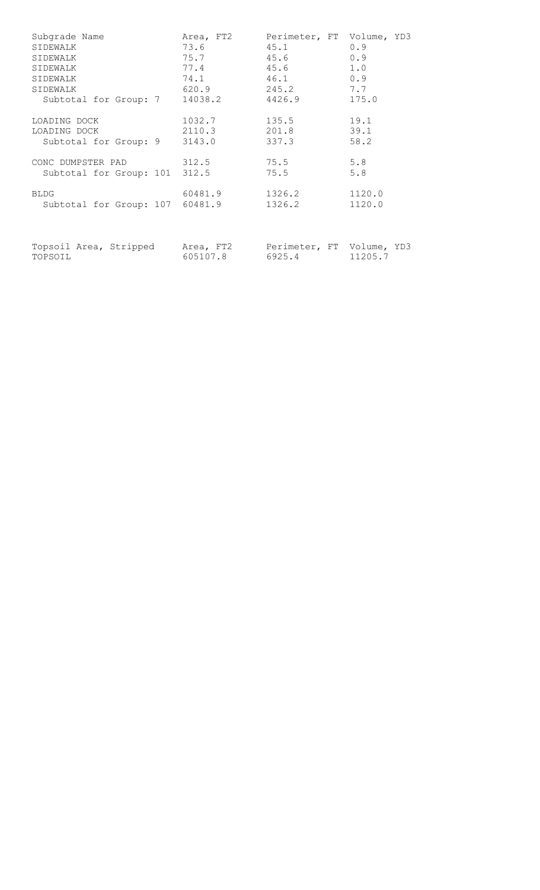| Subgrade Name<br>SIDEWALK<br>SIDEWALK<br>SIDEWALK<br>SIDEWALK<br>SIDEWALK<br>Subtotal for Group: 7 | Area, FT2<br>73.6<br>75.7<br>77.4<br>74.1 | Perimeter, FT Volume, YD3<br>45.1 0.9<br>$45.6$ 0.9<br>1.0<br>45.6<br>46.1<br>0.9<br>620.9 245.2 7.7<br>14038.2 4426.9 175.0 |        |
|----------------------------------------------------------------------------------------------------|-------------------------------------------|------------------------------------------------------------------------------------------------------------------------------|--------|
| LOADING DOCK<br>LOADING DOCK<br>Subtotal for Group: 9 3143.0                                       | 1032.7<br>2110.3                          | 135.5 19.1<br>201.8 39.1<br>337.3                                                                                            | 58.2   |
| CONC DUMPSTER PAD 312.5<br>Subtotal for Group: 101 312.5                                           |                                           | 5.8<br>75.5<br>75.5                                                                                                          | 5.8    |
| <b>BLDG</b><br>Subtotal for Group: 107 60481.9                                                     | 60481.9                                   | 1326.2 1120.0<br>1326.2                                                                                                      | 1120.0 |
| Topsoil Area, Stripped Area, FT2 Perimeter, FT Volume, YD3<br>TOPSOIL                              | 605107.8                                  | 6925.4 11205.7                                                                                                               |        |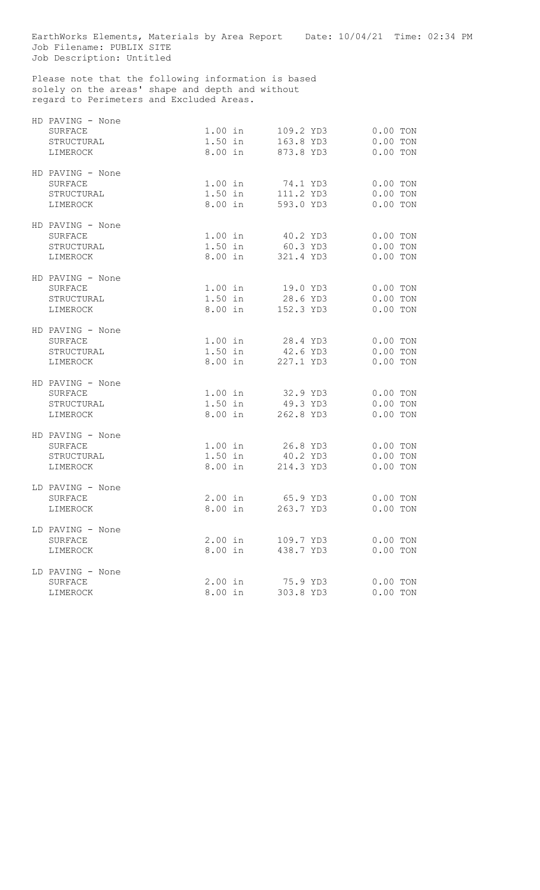EarthWorks Elements, Materials by Area Report Date: 10/04/21 Time: 02:34 PM Job Filename: PUBLIX SITE Job Description: Untitled

Please note that the following information is based solely on the areas' shape and depth and without regard to Perimeters and Excluded Areas.

| HD PAVING - None<br>SURFACE<br>STRUCTURAL<br>LIMEROCK |                      |                                       |                        | 1.00 in 109.2 YD3 0.00 TON<br>1.50 in 163.8 YD3 0.00 TON<br>8.00 in 873.8 YD3 0.00 TON |                                        |  |
|-------------------------------------------------------|----------------------|---------------------------------------|------------------------|----------------------------------------------------------------------------------------|----------------------------------------|--|
| HD PAVING - None<br>SURFACE<br>STRUCTURAL<br>LIMEROCK |                      |                                       |                        | 1.00 in 74.1 YD3 0.00 TON<br>1.50 in 111.2 YD3 0.00 TON<br>8.00 in 593.0 YD3           | $0.00$ TON                             |  |
| HD PAVING - None<br>SURFACE<br>STRUCTURAL<br>LIMEROCK |                      |                                       |                        | 1.00 in 40.2 YD3 0.00 TON<br>1.50 in 60.3 YD3 0.00 TON<br>8.00 in 321.4 YD3            | $0.00$ TON                             |  |
| HD PAVING - None<br>SURFACE<br>STRUCTURAL<br>LIMEROCK |                      |                                       |                        | 1.00 in 19.0 YD3<br>1.50 in 28.6 YD3 0.00 TON<br>8.00 in 152.3 YD3                     | $0.00$ TON<br>$0.00$ TON               |  |
| HD PAVING - None<br>SURFACE<br>STRUCTURAL<br>LIMEROCK |                      | $1.50$ in                             |                        | 1.00 in 28.4 YD3<br>42.6 YD3<br>8.00 in 227.1 YD3                                      | $0.00$ TON<br>$0.00$ TON<br>$0.00$ TON |  |
| HD PAVING - None<br>SURFACE<br>STRUCTURAL<br>LIMEROCK | $1.50$ in            | 8.00 in 262.8 YD3                     | 49.3 YD3               | 1.00 in 32.9 YD3                                                                       | $0.00$ TON<br>$0.00$ TON<br>$0.00$ TON |  |
| HD PAVING - None<br>SURFACE<br>STRUCTURAL<br>LIMEROCK | $1.50$ in            | 1.00 in 26.8 YD3<br>8.00 in 214.3 YD3 | 40.2 YD3               |                                                                                        | $0.00$ TON<br>$0.00$ TON<br>$0.00$ TON |  |
| LD PAVING - None<br><b>SURFACE</b><br>LIMEROCK        |                      |                                       |                        | 2.00 in 65.9 YD3 0.00 TON<br>8.00 in 263.7 YD3 0.00 TON                                |                                        |  |
| LD PAVING - None<br>SURFACE<br>LIMEROCK               | 8.00 in              | $2.00$ in                             | 109.7 YD3<br>438.7 YD3 |                                                                                        | $0.00$ TON<br>$0.00$ TON               |  |
| LD PAVING - None<br>SURFACE<br>LIMEROCK               | $2.00$ in<br>8.00 in |                                       | 75.9 YD3<br>303.8 YD3  |                                                                                        | $0.00$ TON<br>$0.00$ TON               |  |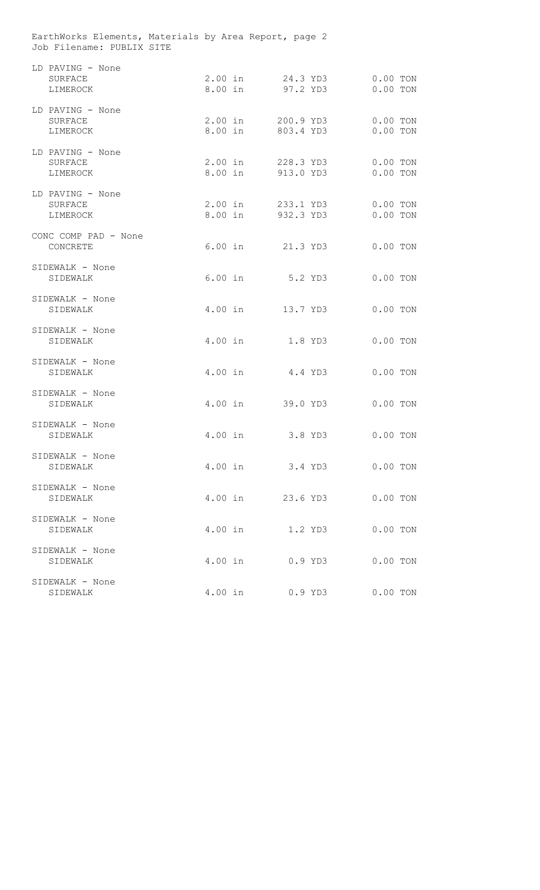EarthWorks Elements, Materials by Area Report, page 2 Job Filename: PUBLIX SITE

| LD PAVING - None<br>SURFACE<br>LIMEROCK | $2.00$ in | 24.3 YD3<br>8.00 in 97.2 YD3           | $0.00$ TON<br>$0.00$ TON |
|-----------------------------------------|-----------|----------------------------------------|--------------------------|
| LD PAVING - None<br>SURFACE<br>LIMEROCK |           | 2.00 in 200.9 YD3<br>8.00 in 803.4 YD3 | $0.00$ TON<br>$0.00$ TON |
| LD PAVING - None<br>SURFACE<br>LIMEROCK |           | 2.00 in 228.3 YD3<br>8.00 in 913.0 YD3 | $0.00$ TON<br>$0.00$ TON |
| LD PAVING - None<br>SURFACE<br>LIMEROCK |           | 2.00 in 233.1 YD3<br>8.00 in 932.3 YD3 | $0.00$ TON<br>$0.00$ TON |
| CONC COMP PAD - None<br>CONCRETE        | $6.00$ in | 21.3 YD3                               | $0.00$ TON               |
| SIDEWALK - None<br>SIDEWALK             | $6.00$ in | 5.2 YD3                                | $0.00$ TON               |
| SIDEWALK - None<br>SIDEWALK             | 4.00 in   | 13.7 YD3                               | $0.00$ TON               |
| SIDEWALK - None<br>SIDEWALK             | 4.00 in   | 1.8 YD3                                | $0.00$ TON               |
| SIDEWALK - None<br>SIDEWALK             | $4.00$ in | 4.4 YD3                                | $0.00$ TON               |
| SIDEWALK - None<br>SIDEWALK             | 4.00 in   | 39.0 YD3                               | $0.00$ TON               |
| SIDEWALK - None<br>SIDEWALK             | $4.00$ in | 3.8 YD3                                | $0.00$ TON               |
| SIDEWALK - None<br>SIDEWALK             | $4.00$ in | 3.4 YD3                                | $0.00$ TON               |
| SIDEWALK - None<br>SIDEWALK             | $4.00$ in | 23.6 YD3                               | $0.00$ TON               |
| SIDEWALK - None<br>SIDEWALK             | $4.00$ in | 1.2 YD3                                | $0.00$ TON               |
| SIDEWALK - None<br>SIDEWALK             | $4.00$ in | $0.9$ YD3                              | $0.00$ TON               |
| SIDEWALK - None<br>SIDEWALK             | $4.00$ in | $0.9$ YD3                              | $0.00$ TON               |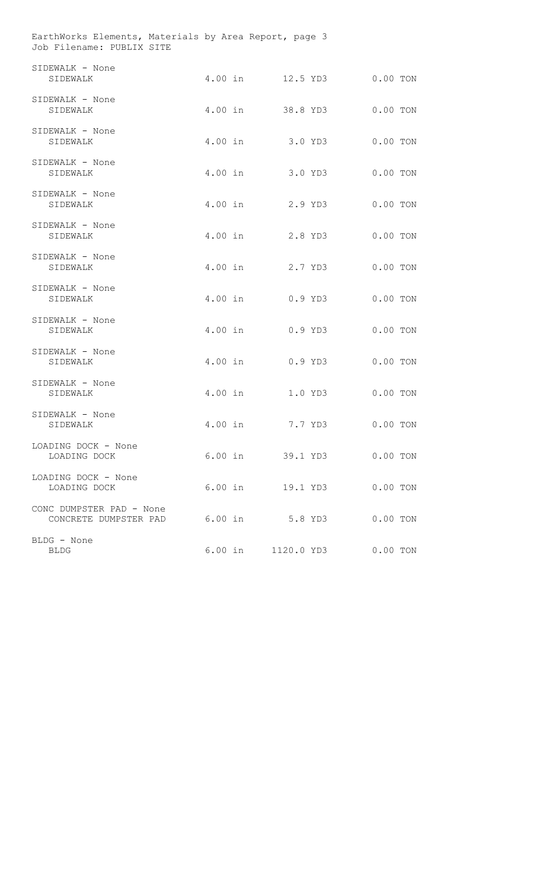EarthWorks Elements, Materials by Area Report, page 3 Job Filename: PUBLIX SITE

| SIDEWALK - None<br>SIDEWALK                       |           | 4.00 in 12.5 YD3 |           | $0.00$ TON |  |
|---------------------------------------------------|-----------|------------------|-----------|------------|--|
| SIDEWALK - None<br>SIDEWALK                       |           | 4.00 in 38.8 YD3 |           | $0.00$ TON |  |
| SIDEWALK - None<br>SIDEWALK                       | $4.00$ in | $3.0$ YD3        |           | $0.00$ TON |  |
| SIDEWALK - None<br>SIDEWALK                       | 4.00 in   |                  | 3.0 YD3   | $0.00$ TON |  |
| SIDEWALK - None<br>SIDEWALK                       | 4.00 in   | 2.9 YD3          |           | $0.00$ TON |  |
| SIDEWALK - None<br>SIDEWALK                       | $4.00$ in |                  | 2.8 YD3   | $0.00$ TON |  |
| SIDEWALK - None<br>SIDEWALK                       | 4.00 in   |                  | 2.7 YD3   | $0.00$ TON |  |
| SIDEWALK - None<br>SIDEWALK                       | 4.00 in   |                  | $0.9$ YD3 | $0.00$ TON |  |
| SIDEWALK - None<br>SIDEWALK                       | 4.00 in   |                  | $0.9$ YD3 | $0.00$ TON |  |
| SIDEWALK - None<br>SIDEWALK                       | 4.00 in   |                  | $0.9$ YD3 | $0.00$ TON |  |
| SIDEWALK - None<br>SIDEWALK                       | $4.00$ in |                  | 1.0 YD3   | $0.00$ TON |  |
| SIDEWALK - None<br>SIDEWALK                       | $4.00$ in | 7.7 YD3          |           | $0.00$ TON |  |
| LOADING DOCK - None<br>LOADING DOCK               | $6.00$ in | 39.1 YD3         |           | $0.00$ TON |  |
| LOADING DOCK - None<br>LOADING DOCK               | 6.00 in   | 19.1 YD3         |           | $0.00$ TON |  |
| CONC DUMPSTER PAD - None<br>CONCRETE DUMPSTER PAD | $6.00$ in | 5.8 YD3          |           | $0.00$ TON |  |
| BLDG - None<br><b>BLDG</b>                        | $6.00$ in | 1120.0 YD3       |           | $0.00$ TON |  |